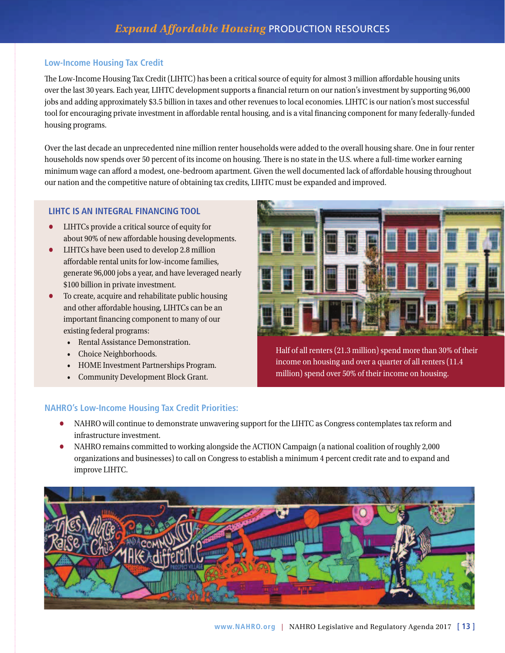## **Low-Income Housing Tax Credit**

The Low-Income Housing Tax Credit (LIHTC) has been a critical source of equity for almost 3 million affordable housing units over the last 30 years. Each year, LIHTC development supports a financial return on our nation's investment by supporting 96,000 jobs and adding approximately \$3.5 billion in taxes and other revenues to local economies. LIHTC is our nation's most successful tool for encouraging private investment in affordable rental housing, and is a vital financing component for many federally-funded housing programs.

Over the last decade an unprecedented nine million renter households were added to the overall housing share. One in four renter households now spends over 50 percent of its income on housing. There is no state in the U.S. where a full-time worker earning minimum wage can afford a modest, one-bedroom apartment. Given the well documented lack of affordable housing throughout our nation and the competitive nature of obtaining tax credits, LIHTC must be expanded and improved.

## **LIHTC IS AN INTEGRAL FINANCING TOOL**

- LIHTCs provide a critical source of equity for about 90% of new affordable housing developments.
- LIHTCs have been used to develop 2.8 million affordable rental units for low-income families. generate 96,000 jobs a year, and have leveraged nearly \$100 billion in private investment.
- To create, acquire and rehabilitate public housing and other affordable housing, LIHTCs can be an important financing component to many of our existing federal programs:
	- Rental Assistance Demonstration.
	- Choice Neighborhoods.
	- HOME Investment Partnerships Program.
	- Community Development Block Grant.



Half of all renters (21.3 million) spend more than 30% of their income on housing and over a quarter of all renters (11.4 million) spend over 50% of their income on housing.

# **NAHRO's Low-Income Housing Tax Credit Priorities:**

- NAHRO will continue to demonstrate unwavering support for the LIHTC as Congress contemplates tax reform and infrastructure investment.
- NAHRO remains committed to working alongside the ACTION Campaign (a national coalition of roughly 2,000 organizations and businesses) to call on Congress to establish a minimum 4 percent credit rate and to expand and improve LIHTC.